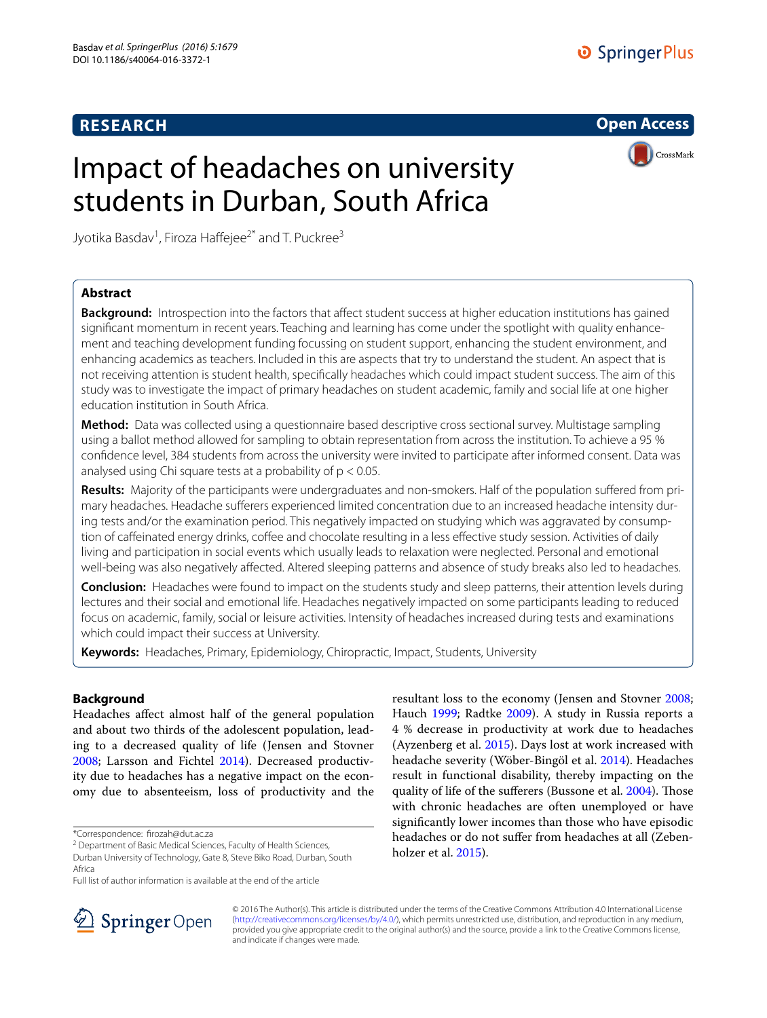# **RESEARCH**

**Open Access**

# **CrossMark**

# Impact of headaches on university students in Durban, South Africa

Jyotika Basdav<sup>1</sup>, Firoza Haffejee<sup>2\*</sup> and T. Puckree<sup>3</sup>

## **Abstract**

**Background:** Introspection into the factors that affect student success at higher education institutions has gained significant momentum in recent years. Teaching and learning has come under the spotlight with quality enhancement and teaching development funding focussing on student support, enhancing the student environment, and enhancing academics as teachers. Included in this are aspects that try to understand the student. An aspect that is not receiving attention is student health, specifically headaches which could impact student success. The aim of this study was to investigate the impact of primary headaches on student academic, family and social life at one higher education institution in South Africa.

**Method:** Data was collected using a questionnaire based descriptive cross sectional survey. Multistage sampling using a ballot method allowed for sampling to obtain representation from across the institution. To achieve a 95 % confidence level, 384 students from across the university were invited to participate after informed consent. Data was analysed using Chi square tests at a probability of  $p < 0.05$ .

**Results:** Majority of the participants were undergraduates and non-smokers. Half of the population suffered from primary headaches. Headache sufferers experienced limited concentration due to an increased headache intensity during tests and/or the examination period. This negatively impacted on studying which was aggravated by consumption of caffeinated energy drinks, coffee and chocolate resulting in a less effective study session. Activities of daily living and participation in social events which usually leads to relaxation were neglected. Personal and emotional well-being was also negatively affected. Altered sleeping patterns and absence of study breaks also led to headaches.

**Conclusion:** Headaches were found to impact on the students study and sleep patterns, their attention levels during lectures and their social and emotional life. Headaches negatively impacted on some participants leading to reduced focus on academic, family, social or leisure activities. Intensity of headaches increased during tests and examinations which could impact their success at University.

**Keywords:** Headaches, Primary, Epidemiology, Chiropractic, Impact, Students, University

## **Background**

Headaches affect almost half of the general population and about two thirds of the adolescent population, leading to a decreased quality of life (Jensen and Stovner [2008](#page-4-0); Larsson and Fichtel [2014](#page-4-1)). Decreased productivity due to headaches has a negative impact on the economy due to absenteeism, loss of productivity and the





© 2016 The Author(s). This article is distributed under the terms of the Creative Commons Attribution 4.0 International License [\(http://creativecommons.org/licenses/by/4.0/\)](http://creativecommons.org/licenses/by/4.0/), which permits unrestricted use, distribution, and reproduction in any medium, provided you give appropriate credit to the original author(s) and the source, provide a link to the Creative Commons license, and indicate if changes were made.

<sup>\*</sup>Correspondence: firozah@dut.ac.za

<sup>&</sup>lt;sup>2</sup> Department of Basic Medical Sciences, Faculty of Health Sciences, Durban University of Technology, Gate 8, Steve Biko Road, Durban, South Africa

Full list of author information is available at the end of the article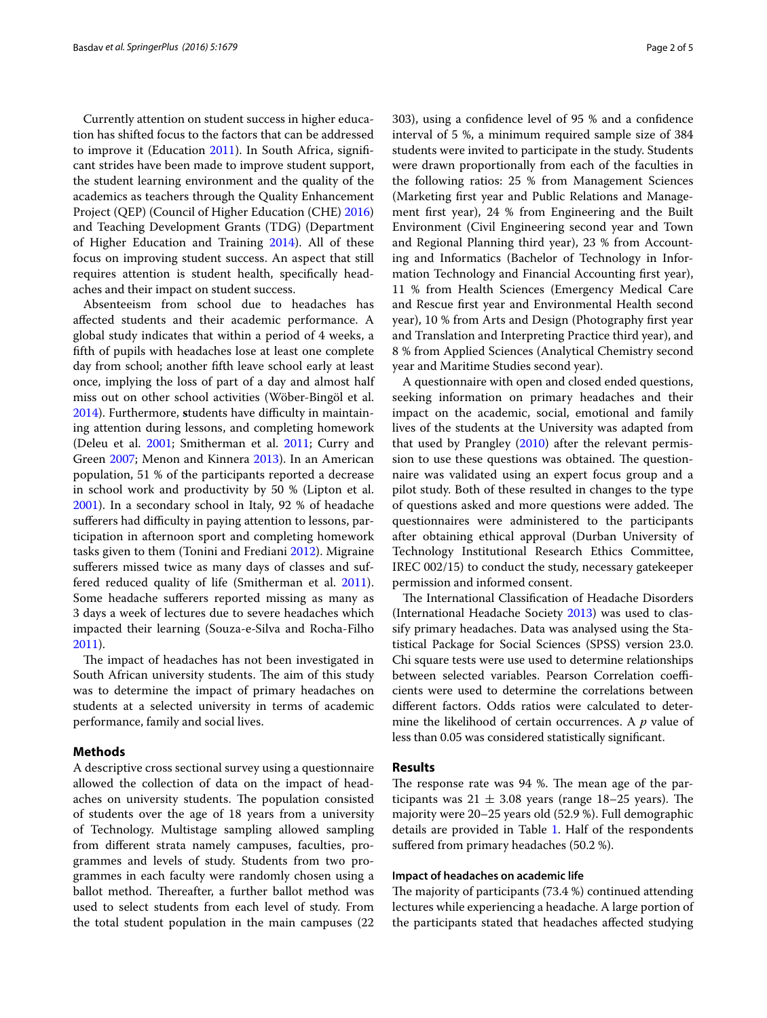Currently attention on student success in higher education has shifted focus to the factors that can be addressed to improve it (Education [2011\)](#page-3-2). In South Africa, significant strides have been made to improve student support, the student learning environment and the quality of the academics as teachers through the Quality Enhancement Project (QEP) (Council of Higher Education (CHE) [2016](#page-3-3)) and Teaching Development Grants (TDG) (Department of Higher Education and Training [2014\)](#page-4-6). All of these focus on improving student success. An aspect that still requires attention is student health, specifically headaches and their impact on student success.

Absenteeism from school due to headaches has affected students and their academic performance. A global study indicates that within a period of 4 weeks, a fifth of pupils with headaches lose at least one complete day from school; another fifth leave school early at least once, implying the loss of part of a day and almost half miss out on other school activities (Wöber-Bingöl et al. [2014](#page-4-4)). Furthermore, **s**tudents have difficulty in maintaining attention during lessons, and completing homework (Deleu et al. [2001](#page-4-7); Smitherman et al. [2011](#page-4-8); Curry and Green [2007;](#page-3-4) Menon and Kinnera [2013\)](#page-4-9). In an American population, 51 % of the participants reported a decrease in school work and productivity by 50 % (Lipton et al. [2001](#page-4-10)). In a secondary school in Italy, 92 % of headache sufferers had difficulty in paying attention to lessons, participation in afternoon sport and completing homework tasks given to them (Tonini and Frediani [2012](#page-4-11)). Migraine sufferers missed twice as many days of classes and suffered reduced quality of life (Smitherman et al. [2011](#page-4-8)). Some headache sufferers reported missing as many as 3 days a week of lectures due to severe headaches which impacted their learning (Souza-e-Silva and Rocha-Filho [2011](#page-4-12)).

The impact of headaches has not been investigated in South African university students. The aim of this study was to determine the impact of primary headaches on students at a selected university in terms of academic performance, family and social lives.

## **Methods**

A descriptive cross sectional survey using a questionnaire allowed the collection of data on the impact of headaches on university students. The population consisted of students over the age of 18 years from a university of Technology. Multistage sampling allowed sampling from different strata namely campuses, faculties, programmes and levels of study. Students from two programmes in each faculty were randomly chosen using a ballot method. Thereafter, a further ballot method was used to select students from each level of study. From the total student population in the main campuses (22 303), using a confidence level of 95 % and a confidence interval of 5 %, a minimum required sample size of 384 students were invited to participate in the study. Students were drawn proportionally from each of the faculties in the following ratios: 25 % from Management Sciences (Marketing first year and Public Relations and Management first year), 24 % from Engineering and the Built Environment (Civil Engineering second year and Town and Regional Planning third year), 23 % from Accounting and Informatics (Bachelor of Technology in Information Technology and Financial Accounting first year), 11 % from Health Sciences (Emergency Medical Care and Rescue first year and Environmental Health second year), 10 % from Arts and Design (Photography first year and Translation and Interpreting Practice third year), and 8 % from Applied Sciences (Analytical Chemistry second year and Maritime Studies second year).

A questionnaire with open and closed ended questions, seeking information on primary headaches and their impact on the academic, social, emotional and family lives of the students at the University was adapted from that used by Prangley ([2010](#page-4-13)) after the relevant permission to use these questions was obtained. The questionnaire was validated using an expert focus group and a pilot study. Both of these resulted in changes to the type of questions asked and more questions were added. The questionnaires were administered to the participants after obtaining ethical approval (Durban University of Technology Institutional Research Ethics Committee, IREC 002/15) to conduct the study, necessary gatekeeper permission and informed consent.

The International Classification of Headache Disorders (International Headache Society [2013](#page-4-14)) was used to classify primary headaches. Data was analysed using the Statistical Package for Social Sciences (SPSS) version 23.0. Chi square tests were use used to determine relationships between selected variables. Pearson Correlation coefficients were used to determine the correlations between different factors. Odds ratios were calculated to determine the likelihood of certain occurrences. A *p* value of less than 0.05 was considered statistically significant.

## **Results**

The response rate was 94 %. The mean age of the participants was  $21 \pm 3.08$  years (range 18–25 years). The majority were 20–25 years old (52.9 %). Full demographic details are provided in Table [1](#page-2-0). Half of the respondents suffered from primary headaches (50.2 %).

## **Impact of headaches on academic life**

The majority of participants (73.4 %) continued attending lectures while experiencing a headache. A large portion of the participants stated that headaches affected studying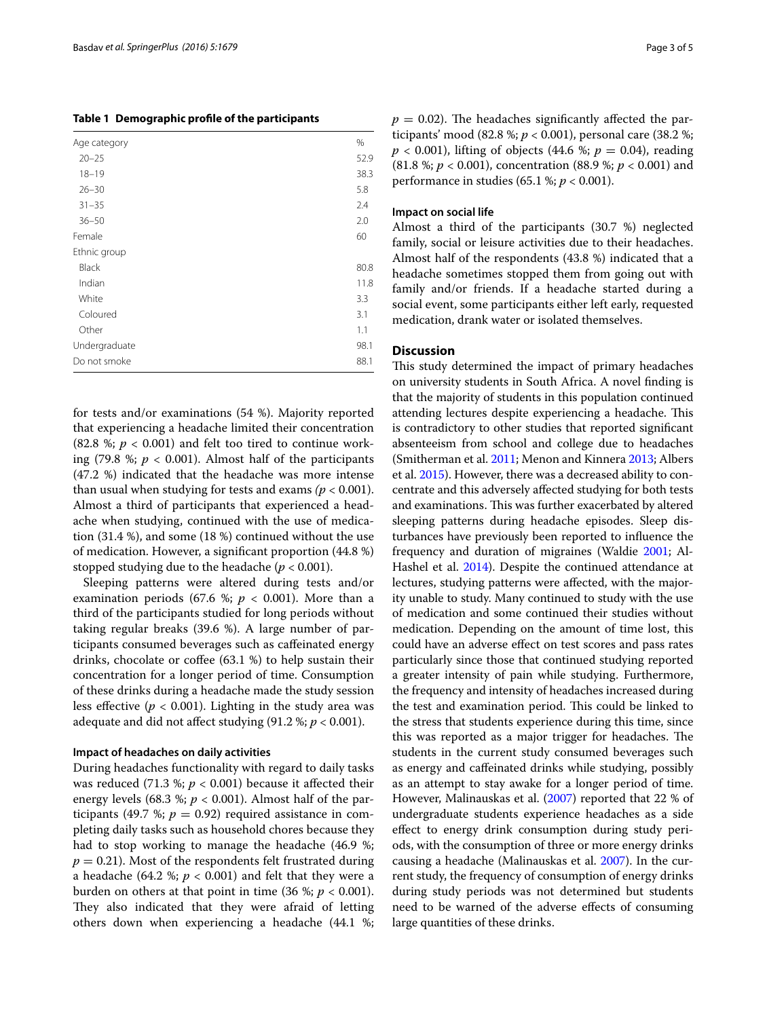<span id="page-2-0"></span>**Table 1 Demographic profile of the participants**

| Age category  | $\%$ |
|---------------|------|
| $20 - 25$     | 52.9 |
| $18 - 19$     | 38.3 |
| $26 - 30$     | 5.8  |
| $31 - 35$     | 2.4  |
| $36 - 50$     | 2.0  |
| Female        | 60   |
| Ethnic group  |      |
| <b>Black</b>  | 80.8 |
| Indian        | 11.8 |
| White         | 3.3  |
| Coloured      | 3.1  |
| Other         | 1.1  |
| Undergraduate | 98.1 |
| Do not smoke  | 88.1 |

for tests and/or examinations (54 %). Majority reported that experiencing a headache limited their concentration (82.8 %;  $p < 0.001$ ) and felt too tired to continue working (79.8 %;  $p < 0.001$ ). Almost half of the participants (47.2 %) indicated that the headache was more intense than usual when studying for tests and exams  $(p < 0.001)$ . Almost a third of participants that experienced a headache when studying, continued with the use of medication (31.4 %), and some (18 %) continued without the use of medication. However, a significant proportion (44.8 %) stopped studying due to the headache ( $p < 0.001$ ).

Sleeping patterns were altered during tests and/or examination periods (67.6 %;  $p < 0.001$ ). More than a third of the participants studied for long periods without taking regular breaks (39.6 %). A large number of participants consumed beverages such as caffeinated energy drinks, chocolate or coffee (63.1 %) to help sustain their concentration for a longer period of time. Consumption of these drinks during a headache made the study session less effective  $(p < 0.001)$ . Lighting in the study area was adequate and did not affect studying (91.2 %; *p* < 0.001).

## **Impact of headaches on daily activities**

During headaches functionality with regard to daily tasks was reduced (71.3 %;  $p < 0.001$ ) because it affected their energy levels (68.3 %;  $p < 0.001$ ). Almost half of the participants (49.7 %;  $p = 0.92$ ) required assistance in completing daily tasks such as household chores because they had to stop working to manage the headache (46.9 %;  $p = 0.21$ ). Most of the respondents felt frustrated during a headache (64.2 %;  $p < 0.001$ ) and felt that they were a burden on others at that point in time  $(36 \frac{1}{2} \times 0.001)$ . They also indicated that they were afraid of letting others down when experiencing a headache (44.1 %;  $p = 0.02$ ). The headaches significantly affected the participants' mood (82.8 %; *p* < 0.001), personal care (38.2 %;  $p < 0.001$ ), lifting of objects (44.6 %;  $p = 0.04$ ), reading (81.8 %; *p* < 0.001), concentration (88.9 %; *p* < 0.001) and performance in studies (65.1 %; *p* < 0.001).

## **Impact on social life**

Almost a third of the participants (30.7 %) neglected family, social or leisure activities due to their headaches. Almost half of the respondents (43.8 %) indicated that a headache sometimes stopped them from going out with family and/or friends. If a headache started during a social event, some participants either left early, requested medication, drank water or isolated themselves.

## **Discussion**

This study determined the impact of primary headaches on university students in South Africa. A novel finding is that the majority of students in this population continued attending lectures despite experiencing a headache. This is contradictory to other studies that reported significant absenteeism from school and college due to headaches (Smitherman et al. [2011;](#page-4-8) Menon and Kinnera [2013;](#page-4-9) Albers et al. [2015](#page-3-5)). However, there was a decreased ability to concentrate and this adversely affected studying for both tests and examinations. This was further exacerbated by altered sleeping patterns during headache episodes. Sleep disturbances have previously been reported to influence the frequency and duration of migraines (Waldie [2001](#page-4-15); Al-Hashel et al. [2014](#page-3-6)). Despite the continued attendance at lectures, studying patterns were affected, with the majority unable to study. Many continued to study with the use of medication and some continued their studies without medication. Depending on the amount of time lost, this could have an adverse effect on test scores and pass rates particularly since those that continued studying reported a greater intensity of pain while studying. Furthermore, the frequency and intensity of headaches increased during the test and examination period. This could be linked to the stress that students experience during this time, since this was reported as a major trigger for headaches. The students in the current study consumed beverages such as energy and caffeinated drinks while studying, possibly as an attempt to stay awake for a longer period of time. However, Malinauskas et al. [\(2007\)](#page-4-16) reported that 22 % of undergraduate students experience headaches as a side effect to energy drink consumption during study periods, with the consumption of three or more energy drinks causing a headache (Malinauskas et al. [2007\)](#page-4-16). In the current study, the frequency of consumption of energy drinks during study periods was not determined but students need to be warned of the adverse effects of consuming large quantities of these drinks.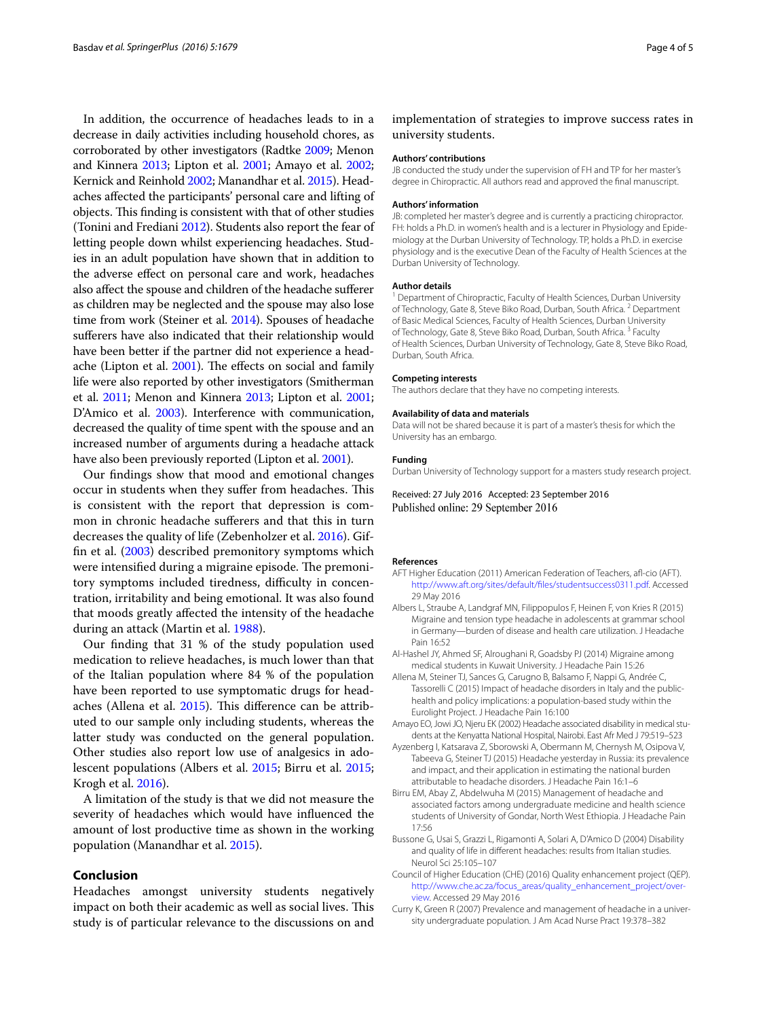In addition, the occurrence of headaches leads to in a decrease in daily activities including household chores, as corroborated by other investigators (Radtke [2009](#page-4-3); Menon and Kinnera [2013;](#page-4-9) Lipton et al. [2001](#page-4-10); Amayo et al. [2002](#page-3-7); Kernick and Reinhold [2002;](#page-4-17) Manandhar et al. [2015](#page-4-18)). Headaches affected the participants' personal care and lifting of objects. This finding is consistent with that of other studies (Tonini and Frediani [2012](#page-4-11)). Students also report the fear of letting people down whilst experiencing headaches. Studies in an adult population have shown that in addition to the adverse effect on personal care and work, headaches also affect the spouse and children of the headache sufferer as children may be neglected and the spouse may also lose time from work (Steiner et al. [2014\)](#page-4-19). Spouses of headache sufferers have also indicated that their relationship would have been better if the partner did not experience a headache (Lipton et al. [2001\)](#page-4-10). The effects on social and family life were also reported by other investigators (Smitherman et al. [2011](#page-4-8); Menon and Kinnera [2013](#page-4-9); Lipton et al. [2001](#page-4-10); D'Amico et al. [2003](#page-4-20)). Interference with communication, decreased the quality of time spent with the spouse and an increased number of arguments during a headache attack have also been previously reported (Lipton et al. [2001](#page-4-10)).

Our findings show that mood and emotional changes occur in students when they suffer from headaches. This is consistent with the report that depression is common in chronic headache sufferers and that this in turn decreases the quality of life (Zebenholzer et al. [2016](#page-4-21)). Giffin et al. ([2003\)](#page-4-22) described premonitory symptoms which were intensified during a migraine episode. The premonitory symptoms included tiredness, difficulty in concentration, irritability and being emotional. It was also found that moods greatly affected the intensity of the headache during an attack (Martin et al. [1988\)](#page-4-23).

Our finding that 31 % of the study population used medication to relieve headaches, is much lower than that of the Italian population where 84 % of the population have been reported to use symptomatic drugs for headaches (Allena et al. [2015\)](#page-3-8). This difference can be attributed to our sample only including students, whereas the latter study was conducted on the general population. Other studies also report low use of analgesics in adolescent populations (Albers et al. [2015;](#page-3-5) Birru et al. [2015](#page-3-9); Krogh et al. [2016\)](#page-4-24).

A limitation of the study is that we did not measure the severity of headaches which would have influenced the amount of lost productive time as shown in the working population (Manandhar et al. [2015](#page-4-18)).

## **Conclusion**

Headaches amongst university students negatively impact on both their academic as well as social lives. This study is of particular relevance to the discussions on and implementation of strategies to improve success rates in university students.

#### **Authors' contributions**

JB conducted the study under the supervision of FH and TP for her master's degree in Chiropractic. All authors read and approved the final manuscript.

#### **Authors' information**

JB: completed her master's degree and is currently a practicing chiropractor. FH: holds a Ph.D. in women's health and is a lecturer in Physiology and Epidemiology at the Durban University of Technology. TP, holds a Ph.D. in exercise physiology and is the executive Dean of the Faculty of Health Sciences at the Durban University of Technology.

#### **Author details**

<sup>1</sup> Department of Chiropractic, Faculty of Health Sciences, Durban University of Technology, Gate 8, Steve Biko Road, Durban, South Africa. <sup>2</sup> Department of Basic Medical Sciences, Faculty of Health Sciences, Durban University of Technology, Gate 8, Steve Biko Road, Durban, South Africa.<sup>3</sup> Faculty of Health Sciences, Durban University of Technology, Gate 8, Steve Biko Road, Durban, South Africa.

#### **Competing interests**

The authors declare that they have no competing interests.

#### **Availability of data and materials**

Data will not be shared because it is part of a master's thesis for which the University has an embargo.

#### **Funding**

Durban University of Technology support for a masters study research project.

Received: 27 July 2016 Accepted: 23 September 2016 Published online: 29 September 2016

#### **References**

- <span id="page-3-2"></span>AFT Higher Education (2011) American Federation of Teachers, afl-cio (AFT). [http://www.aft.org/sites/default/files/studentsuccess0311.pdf.](http://www.aft.org/sites/default/files/studentsuccess0311.pdf) Accessed 29 May 2016
- <span id="page-3-5"></span>Albers L, Straube A, Landgraf MN, Filippopulos F, Heinen F, von Kries R (2015) Migraine and tension type headache in adolescents at grammar school in Germany—burden of disease and health care utilization. J Headache Pain 16:52
- <span id="page-3-6"></span>Al-Hashel JY, Ahmed SF, Alroughani R, Goadsby PJ (2014) Migraine among medical students in Kuwait University. J Headache Pain 15:26
- <span id="page-3-8"></span>Allena M, Steiner TJ, Sances G, Carugno B, Balsamo F, Nappi G, Andrée C, Tassorelli C (2015) Impact of headache disorders in Italy and the publichealth and policy implications: a population-based study within the Eurolight Project. J Headache Pain 16:100
- <span id="page-3-7"></span>Amayo EO, Jowi JO, Njeru EK (2002) Headache associated disability in medical students at the Kenyatta National Hospital, Nairobi. East Afr Med J 79:519–523
- <span id="page-3-0"></span>Ayzenberg I, Katsarava Z, Sborowski A, Obermann M, Chernysh M, Osipova V, Tabeeva G, Steiner TJ (2015) Headache yesterday in Russia: its prevalence and impact, and their application in estimating the national burden attributable to headache disorders. J Headache Pain 16:1–6
- <span id="page-3-9"></span>Birru EM, Abay Z, Abdelwuha M (2015) Management of headache and associated factors among undergraduate medicine and health science students of University of Gondar, North West Ethiopia. J Headache Pain 17:56
- <span id="page-3-1"></span>Bussone G, Usai S, Grazzi L, Rigamonti A, Solari A, D'Amico D (2004) Disability and quality of life in different headaches: results from Italian studies. Neurol Sci 25:105–107
- <span id="page-3-3"></span>Council of Higher Education (CHE) (2016) Quality enhancement project (QEP). [http://www.che.ac.za/focus\\_areas/quality\\_enhancement\\_project/over](http://www.che.ac.za/focus_areas/quality_enhancement_project/overview)[view.](http://www.che.ac.za/focus_areas/quality_enhancement_project/overview) Accessed 29 May 2016
- <span id="page-3-4"></span>Curry K, Green R (2007) Prevalence and management of headache in a university undergraduate population. J Am Acad Nurse Pract 19:378–382